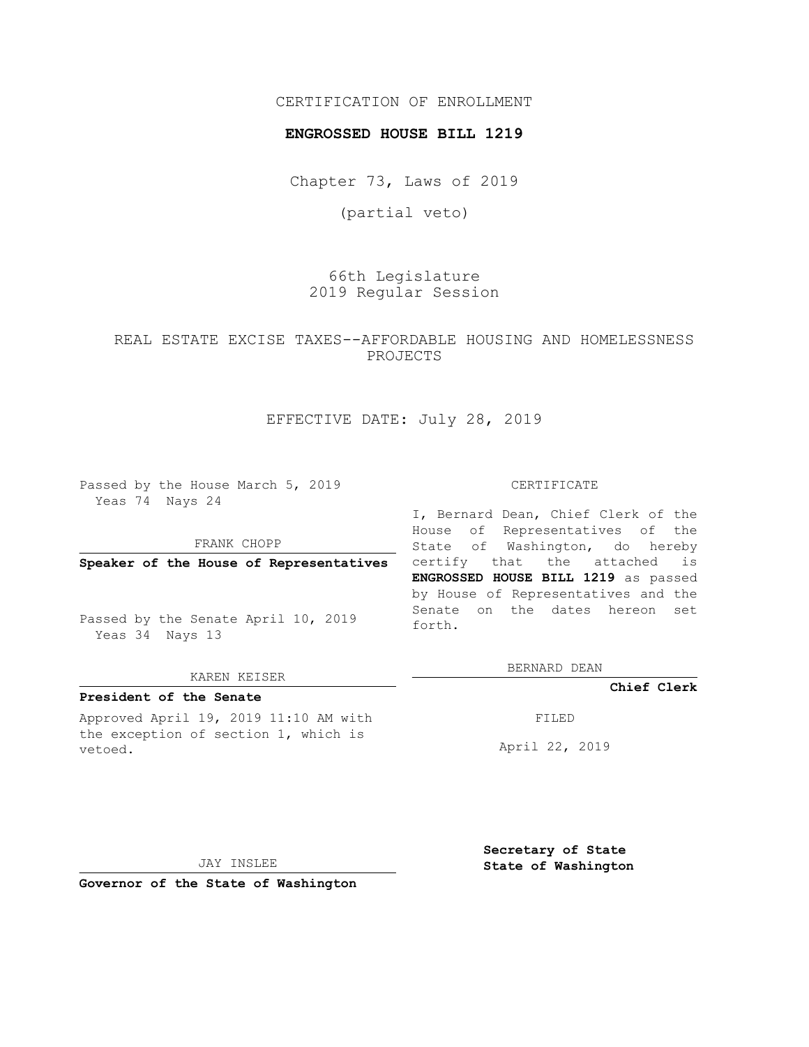# CERTIFICATION OF ENROLLMENT

## **ENGROSSED HOUSE BILL 1219**

Chapter 73, Laws of 2019

(partial veto)

66th Legislature 2019 Regular Session

REAL ESTATE EXCISE TAXES--AFFORDABLE HOUSING AND HOMELESSNESS PROJECTS

# EFFECTIVE DATE: July 28, 2019

Passed by the House March 5, 2019 Yeas 74 Nays 24

FRANK CHOPP

**Speaker of the House of Representatives**

Passed by the Senate April 10, 2019 Yeas 34 Nays 13

### KAREN KEISER

### **President of the Senate**

Approved April 19, 2019 11:10 AM with the exception of section 1, which is vetoed.

#### CERTIFICATE

I, Bernard Dean, Chief Clerk of the House of Representatives of the State of Washington, do hereby certify that the attached is **ENGROSSED HOUSE BILL 1219** as passed by House of Representatives and the Senate on the dates hereon set forth.

BERNARD DEAN

**Chief Clerk**

FILED

April 22, 2019

JAY INSLEE

**Governor of the State of Washington**

**Secretary of State State of Washington**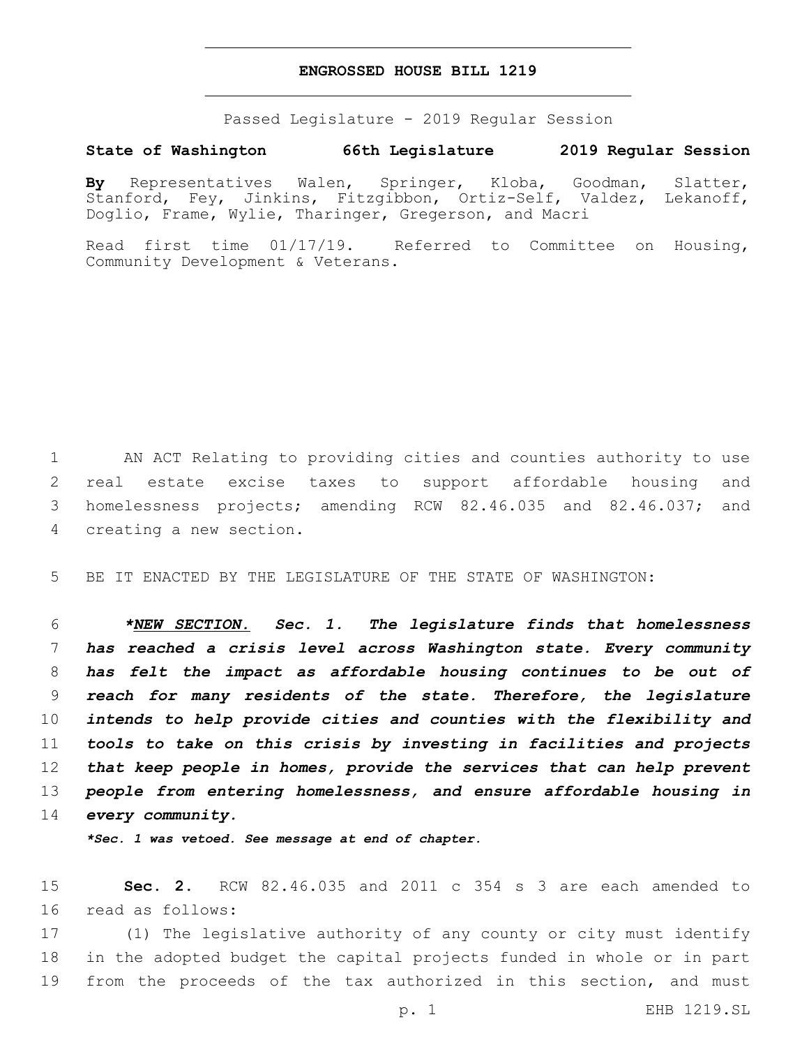## **ENGROSSED HOUSE BILL 1219**

Passed Legislature - 2019 Regular Session

# **State of Washington 66th Legislature 2019 Regular Session**

**By** Representatives Walen, Springer, Kloba, Goodman, Slatter, Stanford, Fey, Jinkins, Fitzgibbon, Ortiz-Self, Valdez, Lekanoff, Doglio, Frame, Wylie, Tharinger, Gregerson, and Macri

Read first time 01/17/19. Referred to Committee on Housing, Community Development & Veterans.

 AN ACT Relating to providing cities and counties authority to use real estate excise taxes to support affordable housing and homelessness projects; amending RCW 82.46.035 and 82.46.037; and 4 creating a new section.

5 BE IT ENACTED BY THE LEGISLATURE OF THE STATE OF WASHINGTON:

 *\*NEW SECTION. Sec. 1. The legislature finds that homelessness has reached a crisis level across Washington state. Every community has felt the impact as affordable housing continues to be out of reach for many residents of the state. Therefore, the legislature intends to help provide cities and counties with the flexibility and tools to take on this crisis by investing in facilities and projects that keep people in homes, provide the services that can help prevent people from entering homelessness, and ensure affordable housing in every community.*

*\*Sec. 1 was vetoed. See message at end of chapter.*

15 **Sec. 2.** RCW 82.46.035 and 2011 c 354 s 3 are each amended to 16 read as follows:

17 (1) The legislative authority of any county or city must identify 18 in the adopted budget the capital projects funded in whole or in part 19 from the proceeds of the tax authorized in this section, and must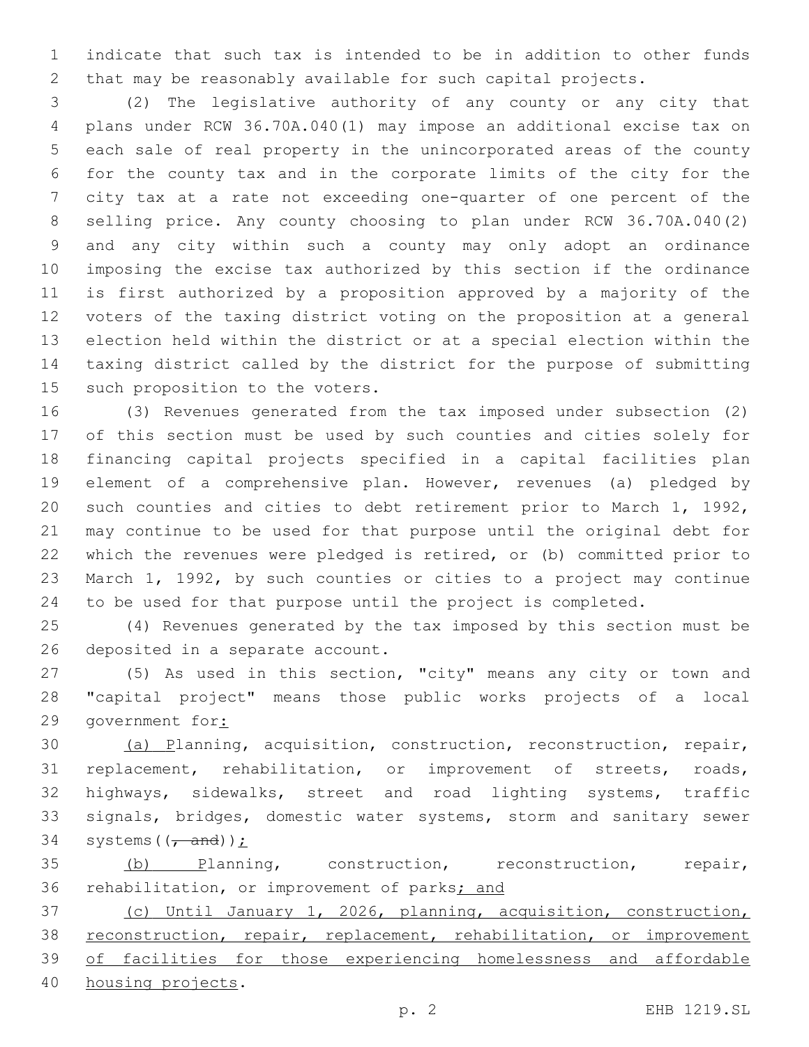indicate that such tax is intended to be in addition to other funds that may be reasonably available for such capital projects.

 (2) The legislative authority of any county or any city that plans under RCW 36.70A.040(1) may impose an additional excise tax on each sale of real property in the unincorporated areas of the county for the county tax and in the corporate limits of the city for the city tax at a rate not exceeding one-quarter of one percent of the selling price. Any county choosing to plan under RCW 36.70A.040(2) and any city within such a county may only adopt an ordinance imposing the excise tax authorized by this section if the ordinance is first authorized by a proposition approved by a majority of the voters of the taxing district voting on the proposition at a general election held within the district or at a special election within the taxing district called by the district for the purpose of submitting 15 such proposition to the voters.

 (3) Revenues generated from the tax imposed under subsection (2) of this section must be used by such counties and cities solely for financing capital projects specified in a capital facilities plan element of a comprehensive plan. However, revenues (a) pledged by such counties and cities to debt retirement prior to March 1, 1992, may continue to be used for that purpose until the original debt for which the revenues were pledged is retired, or (b) committed prior to March 1, 1992, by such counties or cities to a project may continue to be used for that purpose until the project is completed.

 (4) Revenues generated by the tax imposed by this section must be 26 deposited in a separate account.

 (5) As used in this section, "city" means any city or town and "capital project" means those public works projects of a local government for:

 (a) Planning, acquisition, construction, reconstruction, repair, replacement, rehabilitation, or improvement of streets, roads, highways, sidewalks, street and road lighting systems, traffic signals, bridges, domestic water systems, storm and sanitary sewer 34 systems  $((\text{and}))$ :

 (b) Planning, construction, reconstruction, repair, 36 rehabilitation, or improvement of parks; and

 (c) Until January 1, 2026, planning, acquisition, construction, 38 reconstruction, repair, replacement, rehabilitation, or improvement of facilities for those experiencing homelessness and affordable 40 housing projects.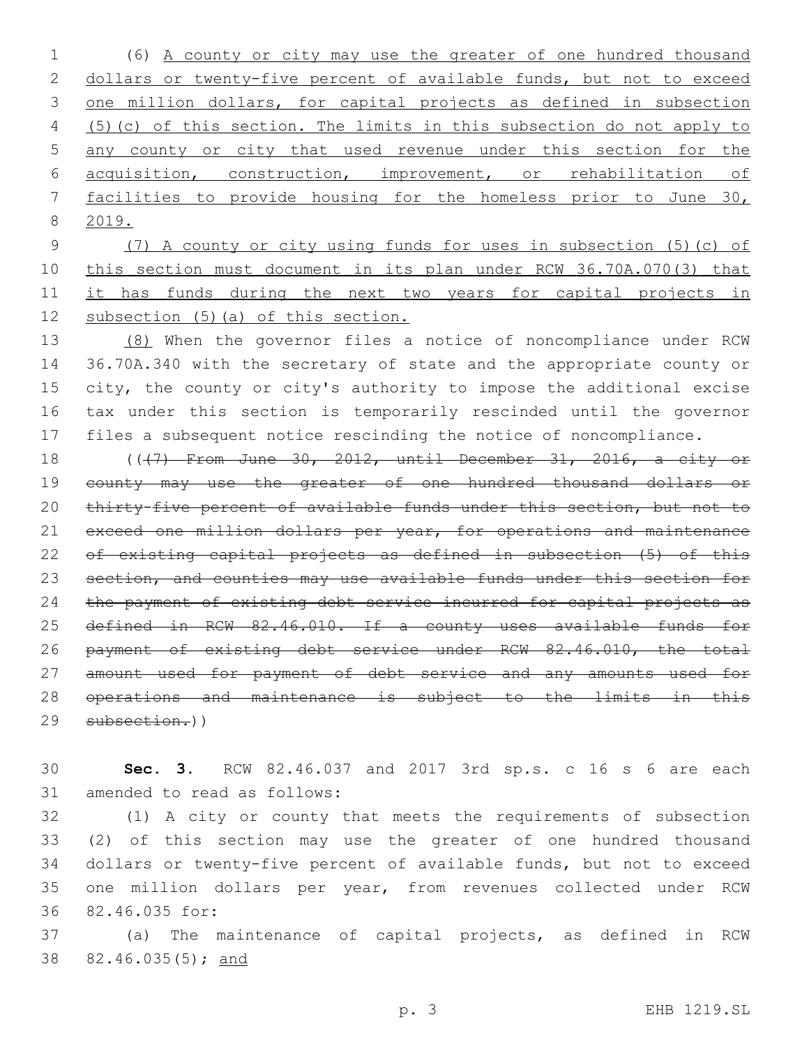(6) A county or city may use the greater of one hundred thousand dollars or twenty-five percent of available funds, but not to exceed one million dollars, for capital projects as defined in subsection (5)(c) of this section. The limits in this subsection do not apply to any county or city that used revenue under this section for the acquisition, construction, improvement, or rehabilitation of facilities to provide housing for the homeless prior to June 30, 2019.

 (7) A county or city using funds for uses in subsection (5)(c) of this section must document in its plan under RCW 36.70A.070(3) that 11 it has funds during the next two years for capital projects in subsection (5)(a) of this section.

 (8) When the governor files a notice of noncompliance under RCW 36.70A.340 with the secretary of state and the appropriate county or city, the county or city's authority to impose the additional excise tax under this section is temporarily rescinded until the governor files a subsequent notice rescinding the notice of noncompliance.

18 ((+7) From June 30, 2012, until December 31, 2016, a city or county may use the greater of one hundred thousand dollars or thirty-five percent of available funds under this section, but not to 21 exceed one million dollars per year, for operations and maintenance of existing capital projects as defined in subsection (5) of this section, and counties may use available funds under this section for the payment of existing debt service incurred for capital projects as 25 defined in RCW 82.46.010. If a county uses available funds for payment of existing debt service under RCW 82.46.010, the total 27 amount used for payment of debt service and any amounts used for operations and maintenance is subject to the limits in this subsection.))

 **Sec. 3.** RCW 82.46.037 and 2017 3rd sp.s. c 16 s 6 are each 31 amended to read as follows:

 (1) A city or county that meets the requirements of subsection (2) of this section may use the greater of one hundred thousand dollars or twenty-five percent of available funds, but not to exceed one million dollars per year, from revenues collected under RCW 82.46.035 for:36

 (a) The maintenance of capital projects, as defined in RCW 82.46.035(5); and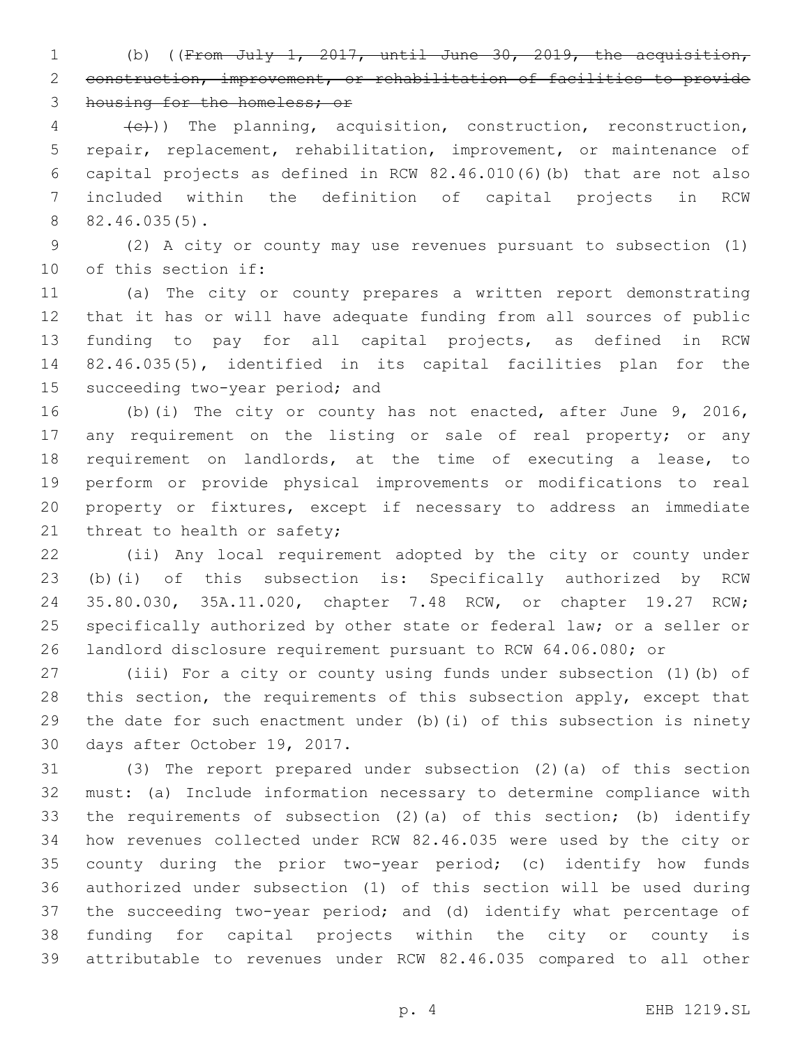(b) ((From July 1, 2017, until June 30, 2019, the acquisition, construction, improvement, or rehabilitation of facilities to provide 3 housing for the homeless; or

 $\{e\}$ )) The planning, acquisition, construction, reconstruction, repair, replacement, rehabilitation, improvement, or maintenance of capital projects as defined in RCW 82.46.010(6)(b) that are not also included within the definition of capital projects in RCW 82.46.035(5).8

 (2) A city or county may use revenues pursuant to subsection (1) 10 of this section if:

 (a) The city or county prepares a written report demonstrating that it has or will have adequate funding from all sources of public funding to pay for all capital projects, as defined in RCW 82.46.035(5), identified in its capital facilities plan for the 15 succeeding two-year period; and

 (b)(i) The city or county has not enacted, after June 9, 2016, 17 any requirement on the listing or sale of real property; or any requirement on landlords, at the time of executing a lease, to perform or provide physical improvements or modifications to real property or fixtures, except if necessary to address an immediate 21 threat to health or safety;

 (ii) Any local requirement adopted by the city or county under (b)(i) of this subsection is: Specifically authorized by RCW 35.80.030, 35A.11.020, chapter 7.48 RCW, or chapter 19.27 RCW; specifically authorized by other state or federal law; or a seller or landlord disclosure requirement pursuant to RCW 64.06.080; or

 (iii) For a city or county using funds under subsection (1)(b) of 28 this section, the requirements of this subsection apply, except that the date for such enactment under (b)(i) of this subsection is ninety 30 days after October 19, 2017.

 (3) The report prepared under subsection (2)(a) of this section must: (a) Include information necessary to determine compliance with the requirements of subsection (2)(a) of this section; (b) identify how revenues collected under RCW 82.46.035 were used by the city or county during the prior two-year period; (c) identify how funds authorized under subsection (1) of this section will be used during the succeeding two-year period; and (d) identify what percentage of funding for capital projects within the city or county is attributable to revenues under RCW 82.46.035 compared to all other